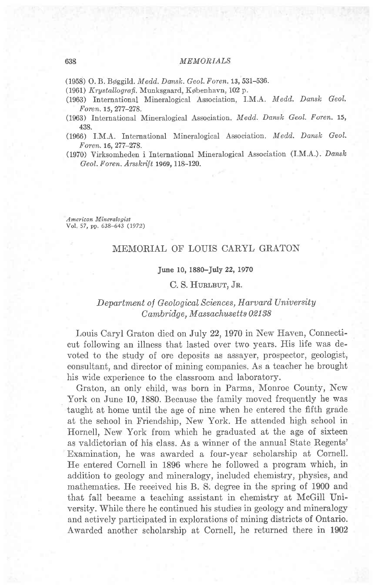## 638 MEMONIALS

(1958) O. B. Bøggild. Medd. Dansk. Geol. Foren. 13, 531-536.

- (1961) Krystallografi, Munksgaard, København, 102 p.
- (1963) International Mineralogical Association, I.M.A. Medd. Dansk Geol. Foren. 15,277-278.
- $(1963)$  International Mineralogical Association. *Medd. Dansk Geol. Foren.* 15, 438.
- (1966) I.M.A. International Mineralogical Association. Medd. Dansk Geol. F oren. 16, 277-278.
- (1970) Virksomheden i International Mineralogical Association (I.M.A.)' Dansk Geol. Foren. Arsskrift 1969, l18-120.

American Mineralogist Vol. 57, pp. 638-643 (1972)

# MEMORIAL OF LOUIS CARYL GRATON

#### June 10, 1880-July 22, l97O

#### C. S. HURLBUT, JR.

## Department of Geological Sciences, Harvard University Cambridge, Massachusetts 02138

Louis Caryl Graton died on July 22, 1970 in New Haven, Connecticut following an illness that iasted over two years. His life was devoted to the study of ore deposits as assayer, prospector, geologist, consultant, and director of mining companies. As a teacher he brought his wide experience to the classroom and laboratory.

Graton, an only child, was born in Parma, Monroe County, New York on June 10, 1880. Because the family moved frequently he was taught at home until the age of nine when he entered the fifth grade at the school in Friendship, New York. He attended high school in Hornell, New York from which he graduated at the age of sixteen as valdictorian of his class. As a winner of the annual State Regents' Examination, he was awarded a four-year scholarship at Cornell. He entered Cornell in 1896 where he followed a program which, in addition to geology and mineralogy, included chemistry, physics, and mathematics. He received his B. S. degree in the spring of 1900 and that fall became a teaching assistant in chemistry at McGill University. While there he continued his studies in geology and mineralogy and actively participated in explorations of mining districts of Ontario. Awarded another scholarship at Cornell, he returned there in 1902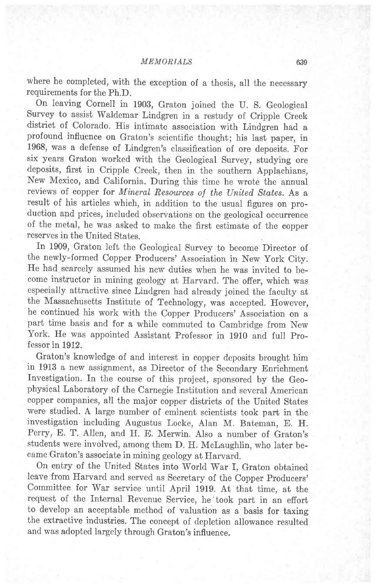where he completed, with the exception of a thesis, all the necessary requirements for the Ph.D.

On leaving Cornell in 1g08, Graton joined the U. S. Geological Survey to assist Waldemar Lindgren in a restudy of Cripple Creek district of colorado. His intimate association with Lindgren had a profound influence on Graton's scientific thought; his last paper, in 1968, was a defense of Lindgren's classification of ore deposits. For six years Graton worked with the Geological Survey, studying ore deposits, first in Cripple Creek, then in the southern Applachians, New Mexico, and California. During this time he wrote the annual reviews of copper for Mineral Resources of the United States. As a result of his articles which, in addition to the usual figures on production and prices, included observations on the geological occurrence of the metal, he was asked to make the first estimate of the copper reserves in the United States.

In 1909, Graton left the Geological Survey to become Director of the newly-formed Copper Producers' Association in New York City. He had scarcely assumed his new duties when he was invited to become instructor in mining geology at Harvard. The offer, which was especially attractive since Lindgren had already joined the faculty at the Massachusetts Institute of Technology, was accepted. However, he continued his work with the Copper Producers' Association on a part time basis and for a while commuted to Cambridge from New York. He was appointed Assistant Professor in 1910 and full Professor in 1912.

Graton's knowledge of and interest in copper deposits brought him in 1913 a new assignment, as Director of the Secondary Enrichment Investigation. In the course of this project, sponsored by the Geophysical Laboratory of the Carnegie Institution and several American copper companies, all the major copper districts of the United States were studied. A large number of eminent scientists took part in the investigation including Augustus Locke, Alan M. Bateman, E. H. Perry, E. T. Allen, and H. E. Merwin. Also a number of Graton's students were involved, among them D. H. Mclaughlin, who later became Graton's associate in mining geology at Harvard.

On entry of the United States into World War f, Graton obtained leave from Harvard and served as Secretary of the Copper Producers' Committee for War service until April 1919. At that time, at the request of the Internal Revenue Service, he'took part in an effort to develop an acceptable method of valuation as a basis for taxing the extractive industries. The concept of depletion allowance resulted and was adopted largely through Graton's influence.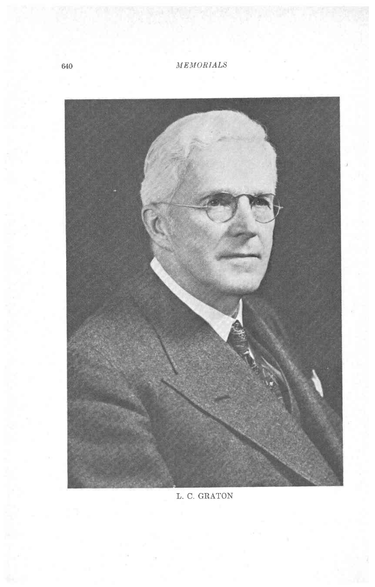

L. C. GRATON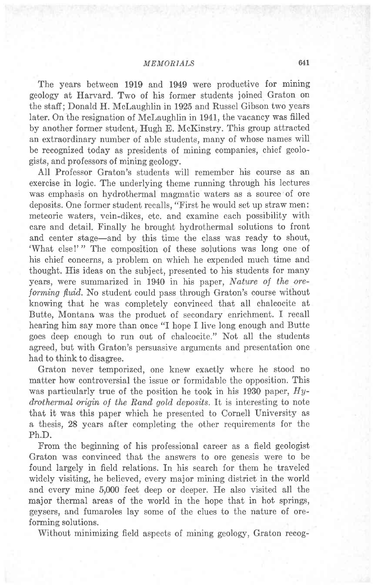The years between 1919 and 1949 were productive for mining geology at Harvard. Two of his former students joined Graton on the staff; Donald H. Mclaughlin in 1925 and Russel Gibson two years later. On the resignation of Mclaughlin in 1941, the vacancy was filled by another former student, Hugh E. McKinstry. This group attracted an extraordinary number of able students, many of whose names will be recognized today as presidents of mining companies, chief geologists, and professors of mining geology.

All Professor Graton's students will remember his course as an exercise in logic. The underlying theme running through his lectures was emphasis on hydrothermal magmatic waters as a source'of ore deposits. One former student recalls, "First he would set up straw men: meteoric waters, vein-dikes, etc. and examine each possibility with care and detail. Finally he brought hydrothermal solutions to front and center stage-and by this time the class was ready to shout, 'What else!'" The composition of these solutions was long one of his chief concerns, a problem on which he expended much time and thought. His ideas on the subject, presented to his students for many years, were summarized in 1940 in his paper, Nature of the oreforming fluid. No student could pass through Graton's course without knowing that he was completely convinced that all chalcocite at Butte, Montana was the product of secondary enrichment. I recall hearing him say more than once "I hope I live long enough and Butte goes deep enough to run out of chalcocite." Not all the students agreed, but with Graton's persuasive arguments and presentation one had to think to disagree.

Graton never temporized, one knew exactly where he stood no matter how controversial the issue or formidable the opposition. This was particularly true of the position he took in his 1930 paper,  $Hy$ drothermal origin of the Rand gold deposits. It is interesting to note that it was this paper which he presented to Cornell University as a thesis, 28 years after completing the other requirements for the Ph.D.

From the beginning of his professional career as a field geologist Graton was convinced that the answers to ore genesis were to be found largely in field relations. In his search for them he traveled widely visiting, he believed, every major mining district in the world and every mine 5,000 feet deep or deeper. He also visited all the major therrnal areas of the world in the hope that in hot springs, geysers, and fumaroles lay some of the clues to the nature of oreforming solutions.

Without minimizing field aspects of mining geology, Graton recog-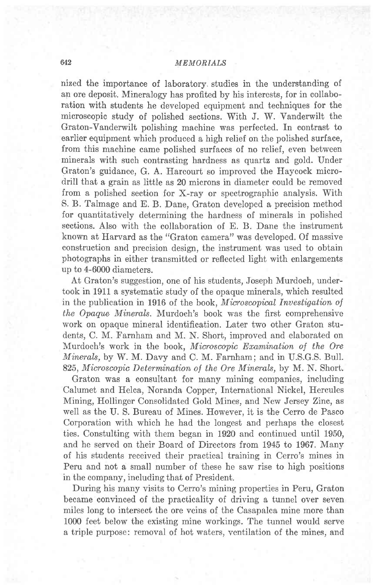nized the importance of laboratory studies in the understanding of an ore deposit. Mineralogy has profited by his interests, for in collaboration with students he developed equipment and techniques for the microscopic study of polished sections. With J. W. Vanderwilt the Graton-Vanderwilt polishing machine was perfected. In contrast to earlier equipment which produced a high relief on the polished surface, from this machine came polished surfaces of no relief, even between minerals with such contrasting hardness as quartz and gold. Under Graton's guidance, G. A. Harcourt so improved the Haycock microdrill that a grain as little as 20 microns in diameter could be removed from a polished section for X-ray or spectrographic analysis. With S. B. Talmage and E. B. Dane, Graton developed a precision method for quantitatively determining the hardness of minerals in polished sections. Also with the collaboration of E. B. Dane the instrument known at Harvard as the "Graton camera" was developed. Of massive construction and precision design, the instrument was used to obtain photographs in either transmitted or reflected light with enlargements up to 4-600O diameters.

At Graton's suggestion, one of his students, Joseph Murdoch, undertook in 1911 a systematic study of the opaque minerals, which resulted in the publication in 1916 of the book, Microscopical Investigation of the Opaque' Minerals. Murdoch's book was the first comprehensive work on opaque mineral identification. Later two other Graton students, C. M. Farnham and M. N. Short, improved and elaborated on Murdoch's work in the book, Microscopic Examination of the Ore M'inerals, by W.M. Davy and C. M. Farnham; and in U.S.G.S. Bull. 825, Microscopic Determination of the Ore Minerals, by M. N. Short.

Graton was a consultant for many mining companies, including Calumet and Helca, Noranda Copper, International Nickel, Hercules Mining, Hollinger Consolidated Gold Mines, and New Jersey Zinc, as well as the U. S. Bureau of Mines. However, it is the Cerro de Pasco Corporation with which he had the longest and perhaps the closest ties. Constulting with them began in 1920 and continued until 1950, and he served on their Board of Directors from 1945 to 1967. Many of his students received their practical training in Cerro's mines in Peru and not a small number of these he saw rise to high positions in the company, including that of President.

During his many visits to Cerro's mining properties in Peru, Graton became convinced of the practicality of driving a tunnel over seven miles long to intersect the ore veins of the Casapalca mine more than 1000 feet below the existing mine workings. The tunnel would serve a triple purpose: removal of hot waters, ventilation of the mines, and